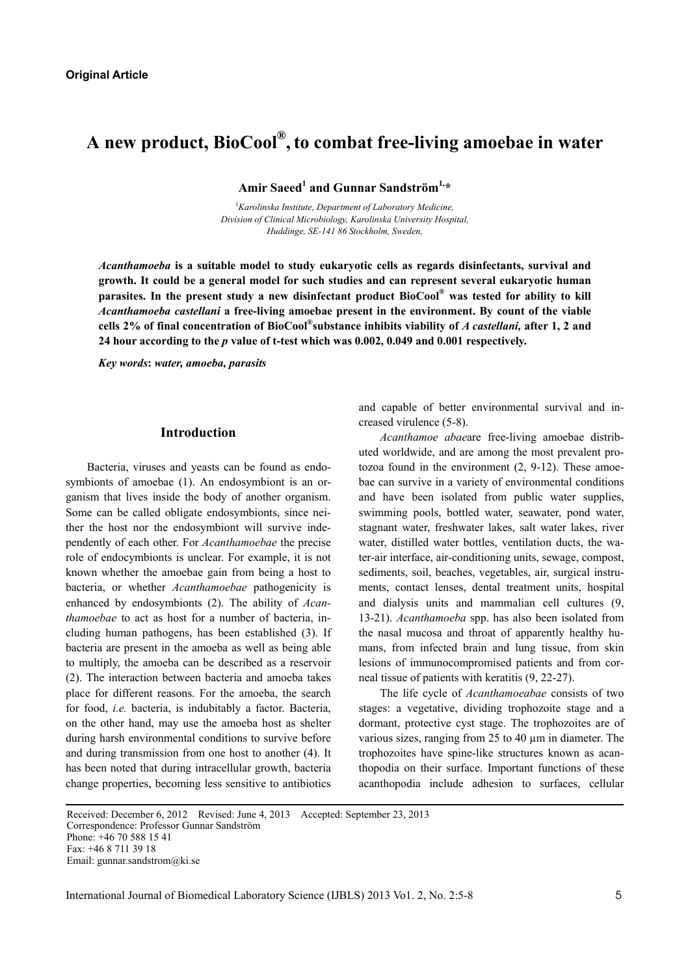# **A new product, BioCool® ,to combat free-living amoebae in water**

**Amir Saeed<sup>1</sup> and Gunnar Sandström1,\*** 

<sup>1</sup> Karolinska Institute, Department of Laboratory Medicine, *Division of Clinical Microbiology, Karolinska University Hospital, Huddinge, SE-141 86 Stockholm, Sweden,* 

*Acanthamoeba* **is a suitable model to study eukaryotic cells as regards disinfectants, survival and growth. It could be a general model for such studies and can represent several eukaryotic human parasites. In the present study a new disinfectant product BioCool® was tested for ability to kill**  *Acanthamoeba castellani* **a free-living amoebae present in the environment. By count of the viable cells 2% of final concentration of BioCool®substance inhibits viability of** *A castellani,* **after 1, 2 and 24 hour according to the** *p* **value of t-test which was 0.002, 0.049 and 0.001 respectively.** 

*Key words***:** *water, amoeba, parasits* 

## **Introduction**

Bacteria, viruses and yeasts can be found as endosymbionts of amoebae (1). An endosymbiont is an organism that lives inside the body of another organism. Some can be called obligate endosymbionts, since neither the host nor the endosymbiont will survive independently of each other. For *Acanthamoebae* the precise role of endocymbionts is unclear. For example, it is not known whether the amoebae gain from being a host to bacteria, or whether *Acanthamoebae* pathogenicity is enhanced by endosymbionts (2). The ability of *Acanthamoebae* to act as host for a number of bacteria, including human pathogens, has been established (3). If bacteria are present in the amoeba as well as being able to multiply, the amoeba can be described as a reservoir (2). The interaction between bacteria and amoeba takes place for different reasons. For the amoeba, the search for food, *i.e.* bacteria, is indubitably a factor. Bacteria, on the other hand, may use the amoeba host as shelter during harsh environmental conditions to survive before and during transmission from one host to another (4). It has been noted that during intracellular growth, bacteria change properties, becoming less sensitive to antibiotics

and capable of better environmental survival and increased virulence (5-8).

*Acanthamoe abae*are free-living amoebae distributed worldwide, and are among the most prevalent protozoa found in the environment (2, 9-12). These amoebae can survive in a variety of environmental conditions and have been isolated from public water supplies, swimming pools, bottled water, seawater, pond water, stagnant water, freshwater lakes, salt water lakes, river water, distilled water bottles, ventilation ducts, the water-air interface, air-conditioning units, sewage, compost, sediments, soil, beaches, vegetables, air, surgical instruments, contact lenses, dental treatment units, hospital and dialysis units and mammalian cell cultures (9, 13-21). *Acanthamoeba* spp. has also been isolated from the nasal mucosa and throat of apparently healthy humans, from infected brain and lung tissue, from skin lesions of immunocompromised patients and from corneal tissue of patients with keratitis (9, 22-27).

The life cycle of *Acanthamoeabae* consists of two stages: a vegetative, dividing trophozoite stage and a dormant, protective cyst stage. The trophozoites are of various sizes, ranging from 25 to 40 µm in diameter. The trophozoites have spine-like structures known as acanthopodia on their surface. Important functions of these acanthopodia include adhesion to surfaces, cellular

Received: December 6, 2012 Revised: June 4, 2013 Accepted: September 23, 2013 Correspondence: Professor Gunnar Sandström Phone: +46 70 588 15 41 Fax: +46 8 711 39 18 Email: gunnar.sandstrom@ki.se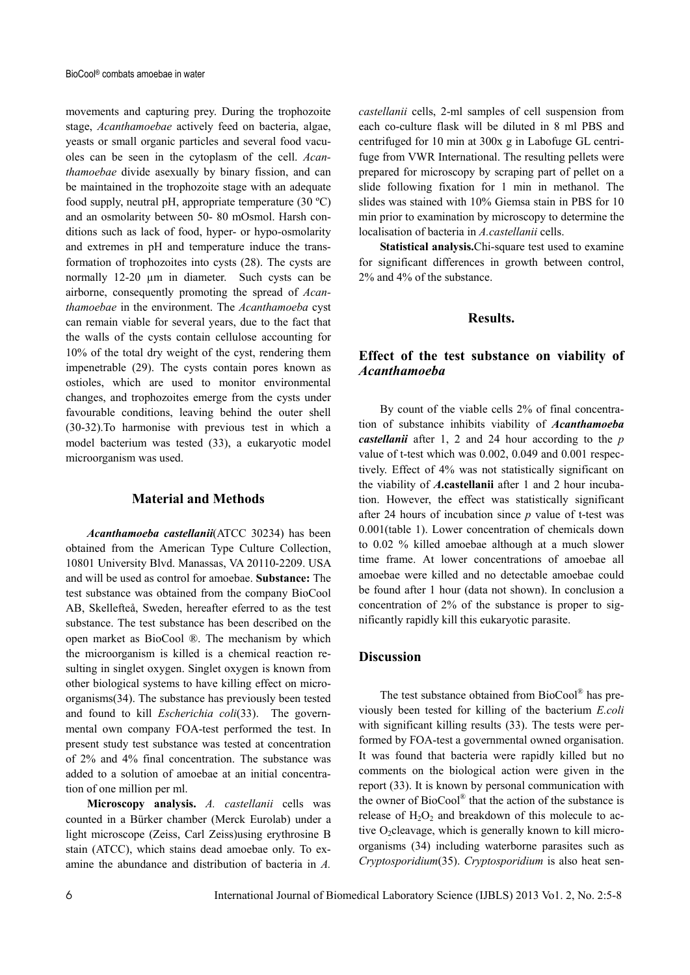movements and capturing prey. During the trophozoite stage, *Acanthamoebae* actively feed on bacteria, algae, yeasts or small organic particles and several food vacuoles can be seen in the cytoplasm of the cell. *Acanthamoebae* divide asexually by binary fission, and can be maintained in the trophozoite stage with an adequate food supply, neutral pH, appropriate temperature (30 ºC) and an osmolarity between 50- 80 mOsmol. Harsh conditions such as lack of food, hyper- or hypo-osmolarity and extremes in pH and temperature induce the transformation of trophozoites into cysts (28). The cysts are normally 12-20 µm in diameter. Such cysts can be airborne, consequently promoting the spread of *Acanthamoebae* in the environment. The *Acanthamoeba* cyst can remain viable for several years, due to the fact that the walls of the cysts contain cellulose accounting for 10% of the total dry weight of the cyst, rendering them impenetrable (29). The cysts contain pores known as ostioles, which are used to monitor environmental changes, and trophozoites emerge from the cysts under favourable conditions, leaving behind the outer shell (30-32).To harmonise with previous test in which a model bacterium was tested (33), a eukaryotic model microorganism was used.

## **Material and Methods**

*Acanthamoeba castellanii*(ATCC 30234) has been obtained from the American Type Culture Collection, 10801 University Blvd. Manassas, VA 20110-2209. USA and will be used as control for amoebae. **Substance:** The test substance was obtained from the company BioCool AB, Skellefteå, Sweden, hereafter eferred to as the test substance. The test substance has been described on the open market as BioCool ®. The mechanism by which the microorganism is killed is a chemical reaction resulting in singlet oxygen. Singlet oxygen is known from other biological systems to have killing effect on microorganisms(34). The substance has previously been tested and found to kill *Escherichia coli*(33). The governmental own company FOA-test performed the test. In present study test substance was tested at concentration of 2% and 4% final concentration. The substance was added to a solution of amoebae at an initial concentration of one million per ml.

**Microscopy analysis.** *A. castellanii* cells was counted in a Bürker chamber (Merck Eurolab) under a light microscope (Zeiss, Carl Zeiss)using erythrosine B stain (ATCC), which stains dead amoebae only. To examine the abundance and distribution of bacteria in *A.* 

*castellanii* cells, 2-ml samples of cell suspension from each co-culture flask will be diluted in 8 ml PBS and centrifuged for 10 min at 300x g in Labofuge GL centrifuge from VWR International. The resulting pellets were prepared for microscopy by scraping part of pellet on a slide following fixation for 1 min in methanol. The slides was stained with 10% Giemsa stain in PBS for 10 min prior to examination by microscopy to determine the localisation of bacteria in *A.castellanii* cells.

**Statistical analysis.**Chi-square test used to examine for significant differences in growth between control, 2% and 4% of the substance.

#### **Results.**

## **Effect of the test substance on viability of**  *Acanthamoeba*

By count of the viable cells 2% of final concentration of substance inhibits viability of *Acanthamoeba castellanii* after 1, 2 and 24 hour according to the *p* value of t-test which was 0.002, 0.049 and 0.001 respectively. Effect of 4% was not statistically significant on the viability of *A***.castellanii** after 1 and 2 hour incubation. However, the effect was statistically significant after 24 hours of incubation since *p* value of t-test was 0.001(table 1). Lower concentration of chemicals down to 0.02 % killed amoebae although at a much slower time frame. At lower concentrations of amoebae all amoebae were killed and no detectable amoebae could be found after 1 hour (data not shown). In conclusion a concentration of 2% of the substance is proper to significantly rapidly kill this eukaryotic parasite.

## **Discussion**

The test substance obtained from BioCool<sup>®</sup> has previously been tested for killing of the bacterium *E.coli* with significant killing results (33). The tests were performed by FOA-test a governmental owned organisation. It was found that bacteria were rapidly killed but no comments on the biological action were given in the report (33). It is known by personal communication with the owner of BioCool® that the action of the substance is release of  $H_2O_2$  and breakdown of this molecule to active  $O_2$ cleavage, which is generally known to kill microorganisms (34) including waterborne parasites such as *Cryptosporidium*(35). *Cryptosporidium* is also heat sen-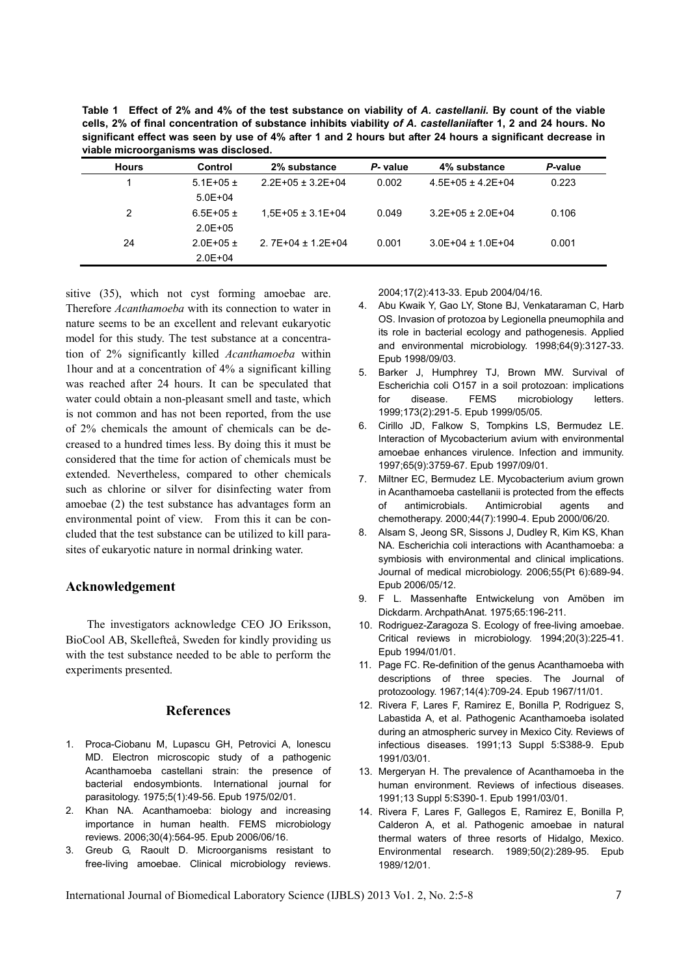**Table 1 Effect of 2% and 4% of the test substance on viability of** *A. castellanii.* **By count of the viable cells, 2% of final concentration of substance inhibits viability** *of A. castellanii***after 1, 2 and 24 hours. No significant effect was seen by use of 4% after 1 and 2 hours but after 24 hours a significant decrease in viable microorganisms was disclosed.** 

| <b>Hours</b> | Control            | 2% substance           | P- value | 4% substance          | P-value |
|--------------|--------------------|------------------------|----------|-----------------------|---------|
|              | $5.1E + 0.5 \pm 1$ | $2.2E+05 \pm 3.2E+04$  | 0.002    | $4.5E+05 \pm 4.2E+04$ | 0.223   |
|              | $5.0E + 04$        |                        |          |                       |         |
| 2            | $6.5E + 0.5E +$    | $1.5E+05 \pm 3.1E+04$  | 0.049    | $3.2E+05 \pm 2.0E+04$ | 0.106   |
|              | $2.0E + 0.5$       |                        |          |                       |         |
| 24           | $2.0E + 0.5 +$     | 2. $7E+04 \pm 1.2E+04$ | 0.001    | $3.0E+04 \pm 1.0E+04$ | 0.001   |
|              | $2.0E + 04$        |                        |          |                       |         |

sitive (35), which not cyst forming amoebae are. Therefore *Acanthamoeba* with its connection to water in nature seems to be an excellent and relevant eukaryotic model for this study. The test substance at a concentration of 2% significantly killed *Acanthamoeba* within 1hour and at a concentration of 4% a significant killing was reached after 24 hours. It can be speculated that water could obtain a non-pleasant smell and taste, which is not common and has not been reported, from the use of 2% chemicals the amount of chemicals can be decreased to a hundred times less. By doing this it must be considered that the time for action of chemicals must be extended. Nevertheless, compared to other chemicals such as chlorine or silver for disinfecting water from amoebae (2) the test substance has advantages form an environmental point of view. From this it can be concluded that the test substance can be utilized to kill parasites of eukaryotic nature in normal drinking water.

## **Acknowledgement**

The investigators acknowledge CEO JO Eriksson, BioCool AB, Skellefteå, Sweden for kindly providing us with the test substance needed to be able to perform the experiments presented.

### **References**

- 1. Proca-Ciobanu M, Lupascu GH, Petrovici A, Ionescu MD. Electron microscopic study of a pathogenic Acanthamoeba castellani strain: the presence of bacterial endosymbionts. International journal for parasitology. 1975;5(1):49-56. Epub 1975/02/01.
- 2. Khan NA. Acanthamoeba: biology and increasing importance in human health. FEMS microbiology reviews. 2006;30(4):564-95. Epub 2006/06/16.
- 3. Greub G, Raoult D. Microorganisms resistant to free-living amoebae. Clinical microbiology reviews.

2004;17(2):413-33. Epub 2004/04/16.

- 4. Abu Kwaik Y, Gao LY, Stone BJ, Venkataraman C, Harb OS. Invasion of protozoa by Legionella pneumophila and its role in bacterial ecology and pathogenesis. Applied and environmental microbiology. 1998;64(9):3127-33. Epub 1998/09/03.
- 5. Barker J, Humphrey TJ, Brown MW. Survival of Escherichia coli O157 in a soil protozoan: implications for disease. FEMS microbiology letters. 1999;173(2):291-5. Epub 1999/05/05.
- 6. Cirillo JD, Falkow S, Tompkins LS, Bermudez LE. Interaction of Mycobacterium avium with environmental amoebae enhances virulence. Infection and immunity. 1997;65(9):3759-67. Epub 1997/09/01.
- 7. Miltner EC, Bermudez LE. Mycobacterium avium grown in Acanthamoeba castellanii is protected from the effects of antimicrobials. Antimicrobial agents and chemotherapy. 2000;44(7):1990-4. Epub 2000/06/20.
- 8. Alsam S, Jeong SR, Sissons J, Dudley R, Kim KS, Khan NA. Escherichia coli interactions with Acanthamoeba: a symbiosis with environmental and clinical implications. Journal of medical microbiology. 2006;55(Pt 6):689-94. Epub 2006/05/12.
- 9. F L. Massenhafte Entwickelung von Amöben im Dickdarm. ArchpathAnat. 1975;65:196-211.
- 10. Rodriguez-Zaragoza S. Ecology of free-living amoebae. Critical reviews in microbiology. 1994;20(3):225-41. Epub 1994/01/01.
- 11. Page FC. Re-definition of the genus Acanthamoeba with descriptions of three species. The Journal of protozoology. 1967;14(4):709-24. Epub 1967/11/01.
- 12. Rivera F, Lares F, Ramirez E, Bonilla P, Rodriguez S, Labastida A, et al. Pathogenic Acanthamoeba isolated during an atmospheric survey in Mexico City. Reviews of infectious diseases. 1991;13 Suppl 5:S388-9. Epub 1991/03/01.
- 13. Mergeryan H. The prevalence of Acanthamoeba in the human environment. Reviews of infectious diseases. 1991;13 Suppl 5:S390-1. Epub 1991/03/01.
- 14. Rivera F, Lares F, Gallegos E, Ramirez E, Bonilla P, Calderon A, et al. Pathogenic amoebae in natural thermal waters of three resorts of Hidalgo, Mexico. Environmental research. 1989;50(2):289-95. Epub 1989/12/01.

International Journal of Biomedical Laboratory Science (IJBLS) 2013 Vo1. 2, No. 2:5-8 7